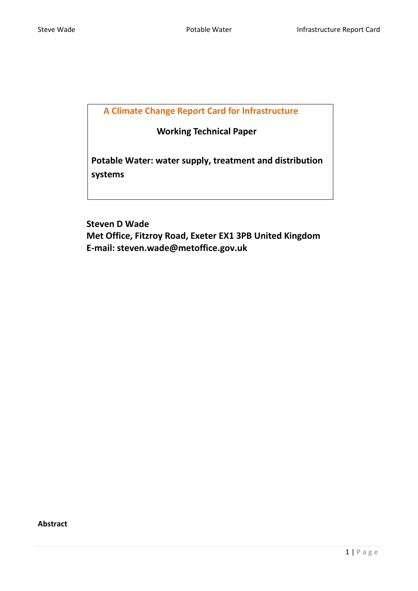**A Climate Change Report Card for Infrastructure**

 **Working Technical Paper**

**Potable Water: water supply, treatment and distribution systems** 

 **Steven D Wade Met Office, Fitzroy Road, Exeter EX1 3PB United Kingdom E-mail: steven.wade@metoffice.gov.uk**

<span id="page-0-0"></span>**Abstract**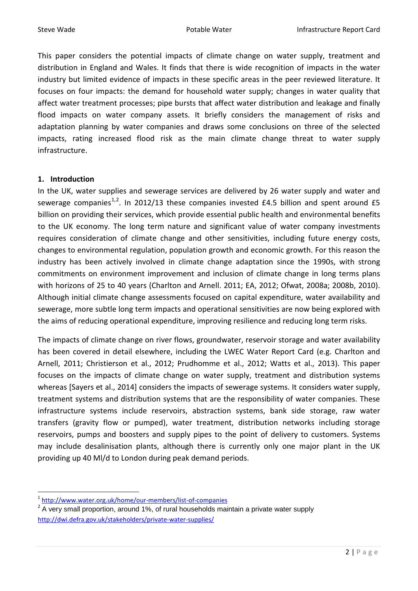This paper considers the potential impacts of climate change on water supply, treatment and distribution in England and Wales. It finds that there is wide recognition of impacts in the water industry but limited evidence of impacts in these specific areas in the peer reviewed literature. It focuses on four impacts: the demand for household water supply; changes in water quality that affect water treatment processes; pipe bursts that affect water distribution and leakage and finally flood impacts on water company assets. It briefly considers the management of risks and adaptation planning by water companies and draws some conclusions on three of the selected impacts, rating increased flood risk as the main climate change threat to water supply infrastructure.

#### **1. Introduction**

In the UK, water supplies and sewerage services are delivered by 26 water supply and water and sewerage companies<sup>[1,](#page-0-0)[2](#page-1-0)</sup>. In 2012/13 these companies invested £4.5 billion and spent around £5 billion on providing their services, which provide essential public health and environmental benefits to the UK economy. The long term nature and significant value of water company investments requires consideration of climate change and other sensitivities, including future energy costs, changes to environmental regulation, population growth and economic growth. For this reason the industry has been actively involved in climate change adaptation since the 1990s, with strong commitments on environment improvement and inclusion of climate change in long terms plans with horizons of 25 to 40 years (Charlton and Arnell. 2011; EA, 2012; Ofwat, 2008a; 2008b, 2010). Although initial climate change assessments focused on capital expenditure, water availability and sewerage, more subtle long term impacts and operational sensitivities are now being explored with the aims of reducing operational expenditure, improving resilience and reducing long term risks.

The impacts of climate change on river flows, groundwater, reservoir storage and water availability has been covered in detail elsewhere, including the LWEC Water Report Card (e.g. Charlton and Arnell, 2011; Christierson et al., 2012; Prudhomme et al., 2012; Watts et al., 2013). This paper focuses on the impacts of climate change on water supply, treatment and distribution systems whereas [Sayers et al., 2014] considers the impacts of sewerage systems. It considers water supply, treatment systems and distribution systems that are the responsibility of water companies. These infrastructure systems include reservoirs, abstraction systems, bank side storage, raw water transfers (gravity flow or pumped), water treatment, distribution networks including storage reservoirs, pumps and boosters and supply pipes to the point of delivery to customers. Systems may include desalinisation plants, although there is currently only one major plant in the UK providing up 40 Ml/d to London during peak demand periods.

 <sup>1</sup> <http://www.water.org.uk/home/our-members/list-of-companies>

<span id="page-1-1"></span><span id="page-1-0"></span> $2$  A very small proportion, around 1%, of rural households maintain a private water supply <http://dwi.defra.gov.uk/stakeholders/private-water-supplies/>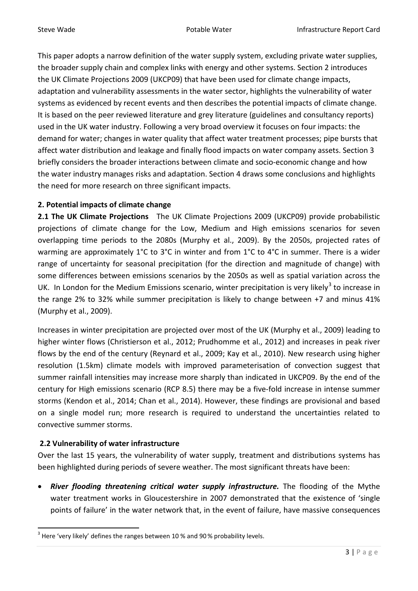This paper adopts a narrow definition of the water supply system, excluding private water supplies, the broader supply chain and complex links with energy and other systems. Section 2 introduces the UK Climate Projections 2009 (UKCP09) that have been used for climate change impacts, adaptation and vulnerability assessments in the water sector, highlights the vulnerability of water systems as evidenced by recent events and then describes the potential impacts of climate change. It is based on the peer reviewed literature and grey literature (guidelines and consultancy reports) used in the UK water industry. Following a very broad overview it focuses on four impacts: the demand for water; changes in water quality that affect water treatment processes; pipe bursts that affect water distribution and leakage and finally flood impacts on water company assets. Section 3 briefly considers the broader interactions between climate and socio-economic change and how the water industry manages risks and adaptation. Section 4 draws some conclusions and highlights the need for more research on three significant impacts.

#### **2. Potential impacts of climate change**

**2.1 The UK Climate Projections** The UK Climate Projections 2009 (UKCP09) provide probabilistic projections of climate change for the Low, Medium and High emissions scenarios for seven overlapping time periods to the 2080s (Murphy et al., 2009). By the 2050s, projected rates of warming are approximately 1°C to 3°C in winter and from 1°C to 4°C in summer. There is a wider range of uncertainty for seasonal precipitation (for the direction and magnitude of change) with some differences between emissions scenarios by the 2050s as well as spatial variation across the UK. In London for the Medium Emissions scenario, winter precipitation is very likely<sup>[3](#page-1-1)</sup> to increase in the range 2% to 32% while summer precipitation is likely to change between +7 and minus 41% (Murphy et al., 2009).

Increases in winter precipitation are projected over most of the UK (Murphy et al., 2009) leading to higher winter flows (Christierson et al., 2012; Prudhomme et al., 2012) and increases in peak river flows by the end of the century (Reynard et al., 2009; Kay et al., 2010). New research using higher resolution (1.5km) climate models with improved parameterisation of convection suggest that summer rainfall intensities may increase more sharply than indicated in UKCP09. By the end of the century for High emissions scenario (RCP 8.5) there may be a five-fold increase in intense summer storms (Kendon et al., 2014; Chan et al., 2014). However, these findings are provisional and based on a single model run; more research is required to understand the uncertainties related to convective summer storms.

# **2.2 Vulnerability of water infrastructure**

Over the last 15 years, the vulnerability of water supply, treatment and distributions systems has been highlighted during periods of severe weather. The most significant threats have been:

• *River flooding threatening critical water supply infrastructure.* The flooding of the Mythe water treatment works in Gloucestershire in 2007 demonstrated that the existence of 'single points of failure' in the water network that, in the event of failure, have massive consequences

<span id="page-2-0"></span> $3$  Here 'very likely' defines the ranges between 10 % and 90 % probability levels.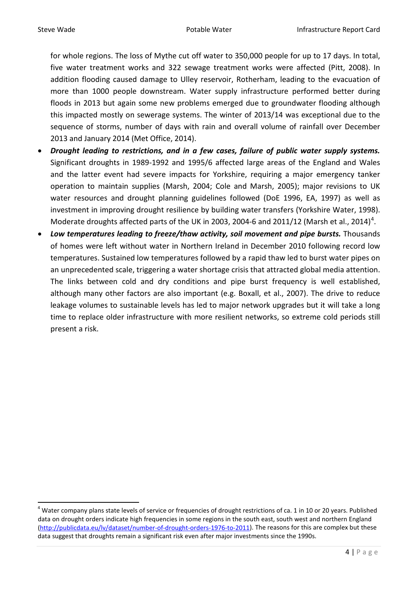for whole regions. The loss of Mythe cut off water to 350,000 people for up to 17 days. In total, five water treatment works and 322 sewage treatment works were affected (Pitt, 2008). In addition flooding caused damage to Ulley reservoir, Rotherham, leading to the evacuation of more than 1000 people downstream. Water supply infrastructure performed better during floods in 2013 but again some new problems emerged due to groundwater flooding although this impacted mostly on sewerage systems. The winter of 2013/14 was exceptional due to the sequence of storms, number of days with rain and overall volume of rainfall over December 2013 and January 2014 (Met Office, 2014).

- *Drought leading to restrictions, and in a few cases, failure of public water supply systems.* Significant droughts in 1989-1992 and 1995/6 affected large areas of the England and Wales and the latter event had severe impacts for Yorkshire, requiring a major emergency tanker operation to maintain supplies (Marsh, 2004; Cole and Marsh, 2005); major revisions to UK water resources and drought planning guidelines followed (DoE 1996, EA, 1997) as well as investment in improving drought resilience by building water transfers (Yorkshire Water, 1998). Moderate droughts affected parts of the UK in 2003, 200[4](#page-2-0)-6 and 2011/12 (Marsh et al., 2014)<sup>4</sup>.
- Low temperatures leading to freeze/thaw activity, soil movement and pipe bursts. Thousands of homes were left without water in Northern Ireland in December 2010 following record low temperatures. Sustained low temperatures followed by a rapid thaw led to burst water pipes on an unprecedented scale, triggering a water shortage crisis that attracted global media attention. The links between cold and dry conditions and pipe burst frequency is well established, although many other factors are also important (e.g. Boxall, et al., 2007). The drive to reduce leakage volumes to sustainable levels has led to major network upgrades but it will take a long time to replace older infrastructure with more resilient networks, so extreme cold periods still present a risk.

<span id="page-3-0"></span> $4$  Water company plans state levels of service or frequencies of drought restrictions of ca. 1 in 10 or 20 years. Published data on drought orders indicate high frequencies in some regions in the south east, south west and northern England [\(http://publicdata.eu/lv/dataset/number-of-drought-orders-1976-to-2011\)](http://publicdata.eu/lv/dataset/number-of-drought-orders-1976-to-2011). The reasons for this are complex but these data suggest that droughts remain a significant risk even after major investments since the 1990s.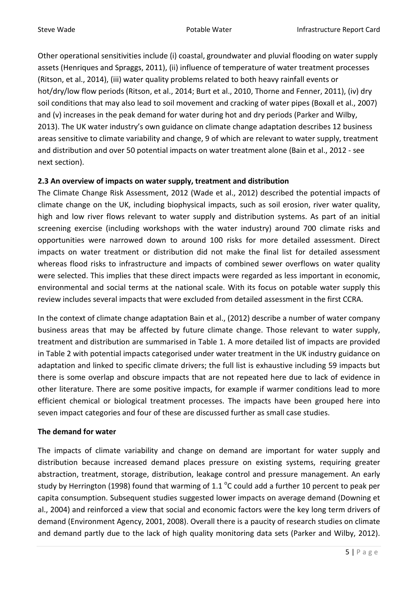Other operational sensitivities include (i) coastal, groundwater and pluvial flooding on water supply assets (Henriques and Spraggs, 2011), (ii) influence of temperature of water treatment processes (Ritson, et al., 2014), (iii) water quality problems related to both heavy rainfall events or hot/dry/low flow periods (Ritson, et al., 2014; Burt et al., 2010, Thorne and Fenner, 2011), (iv) dry soil conditions that may also lead to soil movement and cracking of water pipes (Boxall et al., 2007) and (v) increases in the peak demand for water during hot and dry periods (Parker and Wilby, 2013). The UK water industry's own guidance on climate change adaptation describes 12 business areas sensitive to climate variability and change, 9 of which are relevant to water supply, treatment and distribution and over 50 potential impacts on water treatment alone (Bain et al., 2012 - see next section).

# **2.3 An overview of impacts on water supply, treatment and distribution**

The Climate Change Risk Assessment, 2012 (Wade et al., 2012) described the potential impacts of climate change on the UK, including biophysical impacts, such as soil erosion, river water quality, high and low river flows relevant to water supply and distribution systems. As part of an initial screening exercise (including workshops with the water industry) around 700 climate risks and opportunities were narrowed down to around 100 risks for more detailed assessment. Direct impacts on water treatment or distribution did not make the final list for detailed assessment whereas flood risks to infrastructure and impacts of combined sewer overflows on water quality were selected. This implies that these direct impacts were regarded as less important in economic, environmental and social terms at the national scale. With its focus on potable water supply this review includes several impacts that were excluded from detailed assessment in the first CCRA.

In the context of climate change adaptation Bain et al., (2012) describe a number of water company business areas that may be affected by future climate change. Those relevant to water supply, treatment and distribution are summarised in Table 1. A more detailed list of impacts are provided in Table 2 with potential impacts categorised under water treatment in the UK industry guidance on adaptation and linked to specific climate drivers; the full list is exhaustive including 59 impacts but there is some overlap and obscure impacts that are not repeated here due to lack of evidence in other literature. There are some positive impacts, for example if warmer conditions lead to more efficient chemical or biological treatment processes. The impacts have been grouped here into seven impact categories and four of these are discussed further as small case studies.

# **The demand for water**

The impacts of climate variability and change on demand are important for water supply and distribution because increased demand places pressure on existing systems, requiring greater abstraction, treatment, storage, distribution, leakage control and pressure management. An early study by Herrington (1998) found that warming of 1.1  $^{\circ}$ C could add a further 10 percent to peak per capita consumption. Subsequent studies suggested lower impacts on average demand (Downing et al., 2004) and reinforced a view that social and economic factors were the key long term drivers of demand (Environment Agency, 2001, 2008). Overall there is a paucity of research studies on climate and demand partly due to the lack of high quality monitoring data sets (Parker and Wilby, 2012).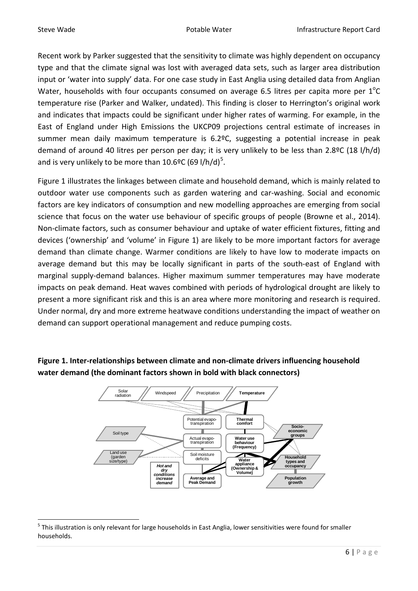Recent work by Parker suggested that the sensitivity to climate was highly dependent on occupancy type and that the climate signal was lost with averaged data sets, such as larger area distribution input or 'water into supply' data. For one case study in East Anglia using detailed data from Anglian Water, households with four occupants consumed on average 6.5 litres per capita more per  $1^{\circ}$ C temperature rise (Parker and Walker, undated). This finding is closer to Herrington's original work and indicates that impacts could be significant under higher rates of warming. For example, in the East of England under High Emissions the UKCP09 projections central estimate of increases in summer mean daily maximum temperature is 6.2ºC, suggesting a potential increase in peak demand of around 40 litres per person per day; it is very unlikely to be less than 2.8ºC (18 l/h/d) and is very unlikely to be more than 10.6°C (69 l/h/d)<sup>[5](#page-3-0)</sup>.

Figure 1 illustrates the linkages between climate and household demand, which is mainly related to outdoor water use components such as garden watering and car-washing. Social and economic factors are key indicators of consumption and new modelling approaches are emerging from social science that focus on the water use behaviour of specific groups of people (Browne et al., 2014). Non-climate factors, such as consumer behaviour and uptake of water efficient fixtures, fitting and devices ('ownership' and 'volume' in Figure 1) are likely to be more important factors for average demand than climate change. Warmer conditions are likely to have low to moderate impacts on average demand but this may be locally significant in parts of the south-east of England with marginal supply-demand balances. Higher maximum summer temperatures may have moderate impacts on peak demand. Heat waves combined with periods of hydrological drought are likely to present a more significant risk and this is an area where more monitoring and research is required. Under normal, dry and more extreme heatwave conditions understanding the impact of weather on demand can support operational management and reduce pumping costs.



**Figure 1. Inter-relationships between climate and non-climate drivers influencing household water demand (the dominant factors shown in bold with black connectors)**

<span id="page-5-0"></span><sup>&</sup>lt;sup>5</sup> This illustration is only relevant for large households in East Anglia, lower sensitivities were found for smaller households.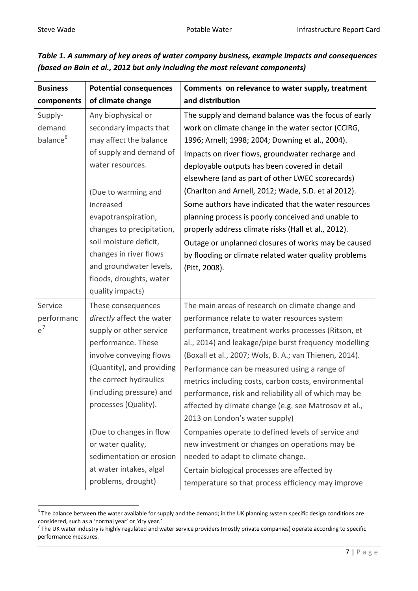| <b>Business</b>                           | <b>Potential consequences</b>                                                                                                                                                                                                                                                                                                                                                           | Comments on relevance to water supply, treatment                                                                                                                                                                                                                                                                                                                                                                                                                                                                                                                                                                                                                                                                                                                                          |
|-------------------------------------------|-----------------------------------------------------------------------------------------------------------------------------------------------------------------------------------------------------------------------------------------------------------------------------------------------------------------------------------------------------------------------------------------|-------------------------------------------------------------------------------------------------------------------------------------------------------------------------------------------------------------------------------------------------------------------------------------------------------------------------------------------------------------------------------------------------------------------------------------------------------------------------------------------------------------------------------------------------------------------------------------------------------------------------------------------------------------------------------------------------------------------------------------------------------------------------------------------|
| components                                | of climate change                                                                                                                                                                                                                                                                                                                                                                       | and distribution                                                                                                                                                                                                                                                                                                                                                                                                                                                                                                                                                                                                                                                                                                                                                                          |
| Supply-<br>demand<br>balance <sup>6</sup> | Any biophysical or<br>secondary impacts that<br>may affect the balance<br>of supply and demand of<br>water resources.<br>(Due to warming and<br>increased<br>evapotranspiration,<br>changes to precipitation,<br>soil moisture deficit,<br>changes in river flows<br>and groundwater levels,<br>floods, droughts, water                                                                 | The supply and demand balance was the focus of early<br>work on climate change in the water sector (CCIRG,<br>1996; Arnell; 1998; 2004; Downing et al., 2004).<br>Impacts on river flows, groundwater recharge and<br>deployable outputs has been covered in detail<br>elsewhere (and as part of other LWEC scorecards)<br>(Charlton and Arnell, 2012; Wade, S.D. et al 2012).<br>Some authors have indicated that the water resources<br>planning process is poorly conceived and unable to<br>properly address climate risks (Hall et al., 2012).<br>Outage or unplanned closures of works may be caused<br>by flooding or climate related water quality problems<br>(Pitt, 2008).                                                                                                      |
| Service<br>performanc<br>$e^7$            | quality impacts)<br>These consequences<br>directly affect the water<br>supply or other service<br>performance. These<br>involve conveying flows<br>(Quantity), and providing<br>the correct hydraulics<br>(including pressure) and<br>processes (Quality).<br>(Due to changes in flow<br>or water quality,<br>sedimentation or erosion<br>at water intakes, algal<br>problems, drought) | The main areas of research on climate change and<br>performance relate to water resources system<br>performance, treatment works processes (Ritson, et<br>al., 2014) and leakage/pipe burst frequency modelling<br>(Boxall et al., 2007; Wols, B. A.; van Thienen, 2014).<br>Performance can be measured using a range of<br>metrics including costs, carbon costs, environmental<br>performance, risk and reliability all of which may be<br>affected by climate change (e.g. see Matrosov et al.,<br>2013 on London's water supply)<br>Companies operate to defined levels of service and<br>new investment or changes on operations may be<br>needed to adapt to climate change.<br>Certain biological processes are affected by<br>temperature so that process efficiency may improve |

| Table 1. A summary of key areas of water company business, example impacts and consequences |
|---------------------------------------------------------------------------------------------|
| (based on Bain et al., 2012 but only including the most relevant components)                |

<span id="page-6-1"></span> $6$  The balance between the water available for supply and the demand; in the UK planning system specific design conditions are considered, such as a 'normal year' or 'dry year.'

<span id="page-6-0"></span> $^7$  The UK water industry is highly regulated and water service providers (mostly private companies) operate according to specific performance measures.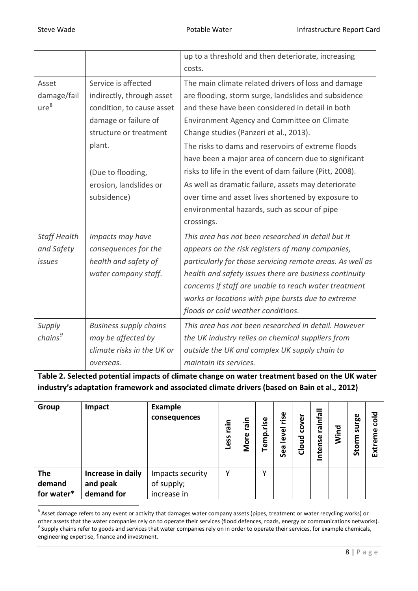|                     |                               | up to a threshold and then deteriorate, increasing        |
|---------------------|-------------------------------|-----------------------------------------------------------|
|                     |                               | costs.                                                    |
| Asset               | Service is affected           | The main climate related drivers of loss and damage       |
| damage/fail         | indirectly, through asset     | are flooding, storm surge, landslides and subsidence      |
| ure <sup>8</sup>    | condition, to cause asset     | and these have been considered in detail in both          |
|                     | damage or failure of          | Environment Agency and Committee on Climate               |
|                     | structure or treatment        | Change studies (Panzeri et al., 2013).                    |
|                     | plant.                        | The risks to dams and reservoirs of extreme floods        |
|                     |                               | have been a major area of concern due to significant      |
|                     | (Due to flooding,             | risks to life in the event of dam failure (Pitt, 2008).   |
|                     | erosion, landslides or        | As well as dramatic failure, assets may deteriorate       |
|                     | subsidence)                   | over time and asset lives shortened by exposure to        |
|                     |                               | environmental hazards, such as scour of pipe              |
|                     |                               | crossings.                                                |
| <b>Staff Health</b> | Impacts may have              | This area has not been researched in detail but it        |
| and Safety          | consequences for the          | appears on the risk registers of many companies,          |
| <i>issues</i>       | health and safety of          | particularly for those servicing remote areas. As well as |
|                     | water company staff.          | health and safety issues there are business continuity    |
|                     |                               | concerns if staff are unable to reach water treatment     |
|                     |                               | works or locations with pipe bursts due to extreme        |
|                     |                               | floods or cold weather conditions.                        |
| Supply              | <b>Business supply chains</b> | This area has not been researched in detail. However      |
| chains <sup>9</sup> | may be affected by            | the UK industry relies on chemical suppliers from         |
|                     | climate risks in the UK or    | outside the UK and complex UK supply chain to             |
|                     | overseas.                     | maintain its services.                                    |

**Table 2. Selected potential impacts of climate change on water treatment based on the UK water industry's adaptation framework and associated climate drivers (based on Bain et al., 2012)**

| Group      | Impact            | <b>Example</b><br>consequences | airg<br>ess | 긒.<br>ဇြ<br>More | rise<br>emp | ise<br>$\overline{\bullet}$<br><b>კ</b><br>Sea | over<br>ပ<br>ਹ<br><u>୦</u><br>$\overline{\mathbf{C}}$ | lejuie<br>Intense | 짇<br>ξ | surge<br>٤<br>Stor | ਠ<br>$\bar{\mathrm{g}}$<br>ω<br>ၑ<br>Ext |
|------------|-------------------|--------------------------------|-------------|------------------|-------------|------------------------------------------------|-------------------------------------------------------|-------------------|--------|--------------------|------------------------------------------|
| <b>The</b> | Increase in daily | Impacts security               | γ           |                  | v           |                                                |                                                       |                   |        |                    |                                          |
| demand     | and peak          | of supply;                     |             |                  |             |                                                |                                                       |                   |        |                    |                                          |
| for water* | demand for        | increase in                    |             |                  |             |                                                |                                                       |                   |        |                    |                                          |

<span id="page-7-1"></span><span id="page-7-0"></span><sup>&</sup>lt;sup>8</sup> Asset damage refers to any event or activity that damages water company assets (pipes, treatment or water recycling works) or<br>other assets that the water companies rely on to operate their services (flood defences, roa <sup>9</sup> Supply chains refer to goods and services that water companies rely on in order to operate their services, for example chemicals, engineering expertise, finance and investment.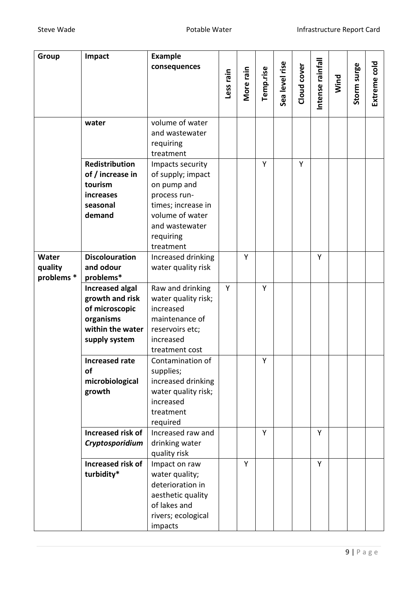| Group      | Impact                   | <b>Example</b>         |           |           |           |                |             |                  |      |             |         |
|------------|--------------------------|------------------------|-----------|-----------|-----------|----------------|-------------|------------------|------|-------------|---------|
|            |                          | consequences           |           |           |           |                |             | Intense rainfall |      |             | 흥       |
|            |                          |                        |           |           |           |                |             |                  |      |             |         |
|            |                          |                        | Less rain | More rain | Temp.rise | Sea level rise | Cloud cover |                  | Wind | Storm surge | Extreme |
|            |                          |                        |           |           |           |                |             |                  |      |             |         |
|            |                          |                        |           |           |           |                |             |                  |      |             |         |
|            | water                    | volume of water        |           |           |           |                |             |                  |      |             |         |
|            |                          | and wastewater         |           |           |           |                |             |                  |      |             |         |
|            |                          | requiring              |           |           |           |                |             |                  |      |             |         |
|            |                          | treatment              |           |           |           |                |             |                  |      |             |         |
|            | <b>Redistribution</b>    | Impacts security       |           |           | Y         |                | Y           |                  |      |             |         |
|            | of / increase in         | of supply; impact      |           |           |           |                |             |                  |      |             |         |
|            | tourism                  | on pump and            |           |           |           |                |             |                  |      |             |         |
|            | increases                | process run-           |           |           |           |                |             |                  |      |             |         |
|            | seasonal                 | times; increase in     |           |           |           |                |             |                  |      |             |         |
|            | demand                   | volume of water        |           |           |           |                |             |                  |      |             |         |
|            |                          | and wastewater         |           |           |           |                |             |                  |      |             |         |
|            |                          | requiring<br>treatment |           |           |           |                |             |                  |      |             |         |
| Water      | <b>Discolouration</b>    | Increased drinking     |           | Y         |           |                |             | Y                |      |             |         |
| quality    | and odour                | water quality risk     |           |           |           |                |             |                  |      |             |         |
| problems * | problems*                |                        |           |           |           |                |             |                  |      |             |         |
|            | <b>Increased algal</b>   | Raw and drinking       | Y         |           | Y         |                |             |                  |      |             |         |
|            | growth and risk          | water quality risk;    |           |           |           |                |             |                  |      |             |         |
|            | of microscopic           | increased              |           |           |           |                |             |                  |      |             |         |
|            | organisms                | maintenance of         |           |           |           |                |             |                  |      |             |         |
|            | within the water         | reservoirs etc;        |           |           |           |                |             |                  |      |             |         |
|            | supply system            | increased              |           |           |           |                |             |                  |      |             |         |
|            |                          | treatment cost         |           |           |           |                |             |                  |      |             |         |
|            | Increased rate           | Contamination of       |           |           | Y         |                |             |                  |      |             |         |
|            | of                       | supplies;              |           |           |           |                |             |                  |      |             |         |
|            | microbiological          | increased drinking     |           |           |           |                |             |                  |      |             |         |
|            | growth                   | water quality risk;    |           |           |           |                |             |                  |      |             |         |
|            |                          | increased<br>treatment |           |           |           |                |             |                  |      |             |         |
|            |                          | required               |           |           |           |                |             |                  |      |             |         |
|            | Increased risk of        | Increased raw and      |           |           | Y         |                |             | Y                |      |             |         |
|            | Cryptosporidium          | drinking water         |           |           |           |                |             |                  |      |             |         |
|            |                          | quality risk           |           |           |           |                |             |                  |      |             |         |
|            | <b>Increased risk of</b> | Impact on raw          |           | Y         |           |                |             | Y                |      |             |         |
|            | turbidity*               | water quality;         |           |           |           |                |             |                  |      |             |         |
|            |                          | deterioration in       |           |           |           |                |             |                  |      |             |         |
|            |                          | aesthetic quality      |           |           |           |                |             |                  |      |             |         |
|            |                          | of lakes and           |           |           |           |                |             |                  |      |             |         |
|            |                          | rivers; ecological     |           |           |           |                |             |                  |      |             |         |
|            |                          | impacts                |           |           |           |                |             |                  |      |             |         |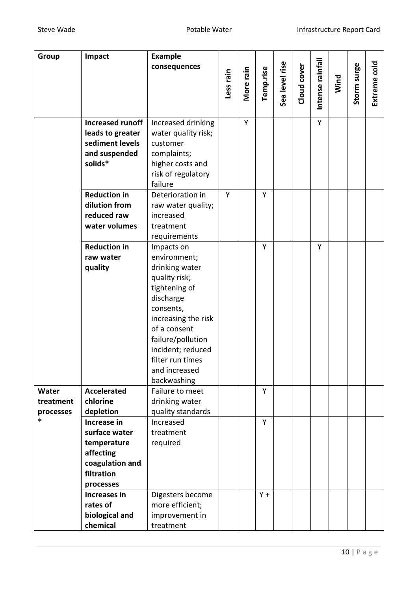| Group                  | Impact                                                                                                 | <b>Example</b><br>consequences                                                                                                                                                                                   |           |           |           |                |             |                  |      |             | plos    |
|------------------------|--------------------------------------------------------------------------------------------------------|------------------------------------------------------------------------------------------------------------------------------------------------------------------------------------------------------------------|-----------|-----------|-----------|----------------|-------------|------------------|------|-------------|---------|
|                        |                                                                                                        |                                                                                                                                                                                                                  | Less rain | More rain | Temp.rise | Sea level rise | Cloud cover | Intense rainfall | Wind | Storm surge | Extreme |
|                        | <b>Increased runoff</b><br>leads to greater<br>sediment levels                                         | Increased drinking<br>water quality risk;<br>customer                                                                                                                                                            |           | Y         |           |                |             | Y                |      |             |         |
|                        | and suspended<br>solids*                                                                               | complaints;<br>higher costs and<br>risk of regulatory<br>failure                                                                                                                                                 |           |           |           |                |             |                  |      |             |         |
|                        | <b>Reduction in</b><br>dilution from<br>reduced raw<br>water volumes                                   | Deterioration in<br>raw water quality;<br>increased<br>treatment<br>requirements                                                                                                                                 | Y         |           | Y         |                |             |                  |      |             |         |
|                        | <b>Reduction in</b><br>raw water<br>quality                                                            | Impacts on<br>environment;<br>drinking water                                                                                                                                                                     |           |           | Y         |                |             | Y                |      |             |         |
| Water                  | <b>Accelerated</b>                                                                                     | quality risk;<br>tightening of<br>discharge<br>consents,<br>increasing the risk<br>of a consent<br>failure/pollution<br>incident; reduced<br>filter run times<br>and increased<br>backwashing<br>Failure to meet |           |           | Y         |                |             |                  |      |             |         |
| treatment<br>processes | chlorine<br>depletion                                                                                  | drinking water<br>quality standards                                                                                                                                                                              |           |           |           |                |             |                  |      |             |         |
| *                      | Increase in<br>surface water<br>temperature<br>affecting<br>coagulation and<br>filtration<br>processes | Increased<br>treatment<br>required                                                                                                                                                                               |           |           | Y         |                |             |                  |      |             |         |
|                        | <b>Increases in</b><br>rates of<br>biological and<br>chemical                                          | Digesters become<br>more efficient;<br>improvement in<br>treatment                                                                                                                                               |           |           | $Y +$     |                |             |                  |      |             |         |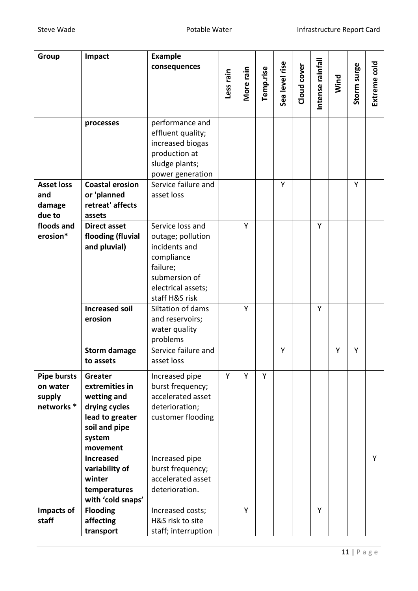| Group                              | Impact                                                    | <b>Example</b><br>consequences                                                                                  |           |           |           |                |             |                  |      |             | plos    |
|------------------------------------|-----------------------------------------------------------|-----------------------------------------------------------------------------------------------------------------|-----------|-----------|-----------|----------------|-------------|------------------|------|-------------|---------|
|                                    |                                                           |                                                                                                                 | Less rain | More rain | Temp.rise | Sea level rise | Cloud cover | Intense rainfall | Wind | Storm surge | Extreme |
|                                    | processes                                                 | performance and<br>effluent quality;<br>increased biogas<br>production at<br>sludge plants;<br>power generation |           |           |           |                |             |                  |      |             |         |
| <b>Asset loss</b><br>and<br>damage | <b>Coastal erosion</b><br>or 'planned<br>retreat' affects | Service failure and<br>asset loss                                                                               |           |           |           | Y              |             |                  |      | Y           |         |
| due to                             | assets                                                    |                                                                                                                 |           |           |           |                |             |                  |      |             |         |
| floods and<br>erosion*             | <b>Direct asset</b><br>flooding (fluvial<br>and pluvial)  | Service loss and<br>outage; pollution<br>incidents and                                                          |           | Y         |           |                |             | Y                |      |             |         |
|                                    |                                                           | compliance<br>failure;<br>submersion of<br>electrical assets;<br>staff H&S risk                                 |           |           |           |                |             |                  |      |             |         |
|                                    | <b>Increased soil</b><br>erosion                          | Siltation of dams<br>and reservoirs;<br>water quality<br>problems                                               |           | Y         |           |                |             | Y                |      |             |         |
|                                    | <b>Storm damage</b><br>to assets                          | Service failure and<br>asset loss                                                                               |           |           |           | Y              |             |                  | Y    | Y           |         |
| <b>Pipe bursts</b>                 | Greater                                                   | Increased pipe                                                                                                  | Y         | Y         | Y         |                |             |                  |      |             |         |
| on water                           | extremities in                                            | burst frequency;                                                                                                |           |           |           |                |             |                  |      |             |         |
| supply                             | wetting and                                               | accelerated asset                                                                                               |           |           |           |                |             |                  |      |             |         |
| networks *                         | drying cycles                                             | deterioration;                                                                                                  |           |           |           |                |             |                  |      |             |         |
|                                    | lead to greater                                           | customer flooding                                                                                               |           |           |           |                |             |                  |      |             |         |
|                                    | soil and pipe                                             |                                                                                                                 |           |           |           |                |             |                  |      |             |         |
|                                    | system<br>movement                                        |                                                                                                                 |           |           |           |                |             |                  |      |             |         |
|                                    | <b>Increased</b>                                          | Increased pipe                                                                                                  |           |           |           |                |             |                  |      |             | Y       |
|                                    | variability of                                            | burst frequency;                                                                                                |           |           |           |                |             |                  |      |             |         |
|                                    | winter                                                    | accelerated asset                                                                                               |           |           |           |                |             |                  |      |             |         |
|                                    | temperatures                                              | deterioration.                                                                                                  |           |           |           |                |             |                  |      |             |         |
|                                    | with 'cold snaps'                                         |                                                                                                                 |           |           |           |                |             |                  |      |             |         |
| <b>Impacts of</b>                  | <b>Flooding</b>                                           | Increased costs;                                                                                                |           | Y         |           |                |             | Y                |      |             |         |
| staff                              | affecting                                                 | H&S risk to site                                                                                                |           |           |           |                |             |                  |      |             |         |
|                                    | transport                                                 | staff; interruption                                                                                             |           |           |           |                |             |                  |      |             |         |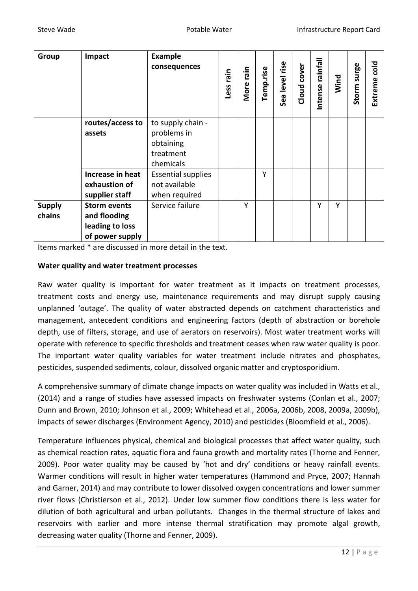| Group                   | Impact                                                                    | <b>Example</b><br>consequences                                          | ning<br>Less | nin<br>More | Temp.rise | rise<br>level<br>Sea | cover<br>Cloud | <b>Ilejuie</b><br>⋍<br>Intense | Wind | surge<br>Storm | ᅙ<br>8<br>Extreme |
|-------------------------|---------------------------------------------------------------------------|-------------------------------------------------------------------------|--------------|-------------|-----------|----------------------|----------------|--------------------------------|------|----------------|-------------------|
|                         | routes/access to<br>assets                                                | to supply chain -<br>problems in<br>obtaining<br>treatment<br>chemicals |              |             |           |                      |                |                                |      |                |                   |
|                         | Increase in heat<br>exhaustion of<br>supplier staff                       | <b>Essential supplies</b><br>not available<br>when required             |              |             | Υ         |                      |                |                                |      |                |                   |
| <b>Supply</b><br>chains | <b>Storm events</b><br>and flooding<br>leading to loss<br>of power supply | Service failure                                                         |              | Υ           |           |                      |                | Υ                              | Y    |                |                   |

Items marked \* are discussed in more detail in the text.

#### **Water quality and water treatment processes**

Raw water quality is important for water treatment as it impacts on treatment processes, treatment costs and energy use, maintenance requirements and may disrupt supply causing unplanned 'outage'. The quality of water abstracted depends on catchment characteristics and management, antecedent conditions and engineering factors (depth of abstraction or borehole depth, use of filters, storage, and use of aerators on reservoirs). Most water treatment works will operate with reference to specific thresholds and treatment ceases when raw water quality is poor. The important water quality variables for water treatment include nitrates and phosphates, pesticides, suspended sediments, colour, dissolved organic matter and cryptosporidium.

A comprehensive summary of climate change impacts on water quality was included in Watts et al., (2014) and a range of studies have assessed impacts on freshwater systems (Conlan et al., 2007; Dunn and Brown, 2010; Johnson et al., 2009; Whitehead et al., 2006a, 2006b, 2008, 2009a, 2009b), impacts of sewer discharges (Environment Agency, 2010) and pesticides (Bloomfield et al., 2006).

Temperature influences physical, chemical and biological processes that affect water quality, such as chemical reaction rates, aquatic flora and fauna growth and mortality rates (Thorne and Fenner, 2009). Poor water quality may be caused by 'hot and dry' conditions or heavy rainfall events. Warmer conditions will result in higher water temperatures (Hammond and Pryce, 2007; Hannah and Garner, 2014) and may contribute to lower dissolved oxygen concentrations and lower summer river flows (Christierson et al., 2012). Under low summer flow conditions there is less water for dilution of both agricultural and urban pollutants. Changes in the thermal structure of lakes and reservoirs with earlier and more intense thermal stratification may promote algal growth, decreasing water quality (Thorne and Fenner, 2009).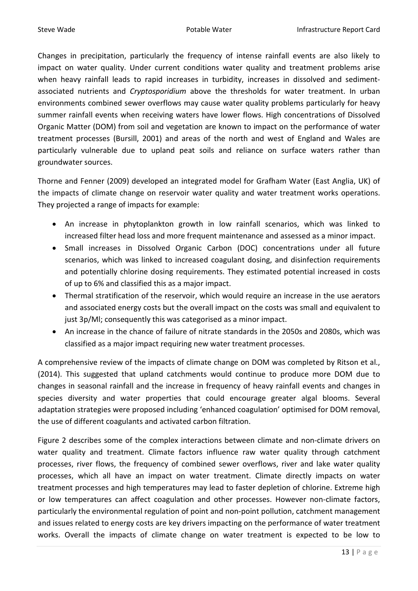Changes in precipitation, particularly the frequency of intense rainfall events are also likely to impact on water quality. Under current conditions water quality and treatment problems arise when heavy rainfall leads to rapid increases in turbidity, increases in dissolved and sedimentassociated nutrients and *Cryptosporidium* above the thresholds for water treatment. In urban environments combined sewer overflows may cause water quality problems particularly for heavy summer rainfall events when receiving waters have lower flows. High concentrations of Dissolved Organic Matter (DOM) from soil and vegetation are known to impact on the performance of water treatment processes (Bursill, 2001) and areas of the north and west of England and Wales are particularly vulnerable due to upland peat soils and reliance on surface waters rather than groundwater sources.

Thorne and Fenner (2009) developed an integrated model for Grafham Water (East Anglia, UK) of the impacts of climate change on reservoir water quality and water treatment works operations. They projected a range of impacts for example:

- An increase in phytoplankton growth in low rainfall scenarios, which was linked to increased filter head loss and more frequent maintenance and assessed as a minor impact.
- Small increases in Dissolved Organic Carbon (DOC) concentrations under all future scenarios, which was linked to increased coagulant dosing, and disinfection requirements and potentially chlorine dosing requirements. They estimated potential increased in costs of up to 6% and classified this as a major impact.
- Thermal stratification of the reservoir, which would require an increase in the use aerators and associated energy costs but the overall impact on the costs was small and equivalent to just 3p/Ml; consequently this was categorised as a minor impact.
- An increase in the chance of failure of nitrate standards in the 2050s and 2080s, which was classified as a major impact requiring new water treatment processes.

A comprehensive review of the impacts of climate change on DOM was completed by Ritson et al., (2014). This suggested that upland catchments would continue to produce more DOM due to changes in seasonal rainfall and the increase in frequency of heavy rainfall events and changes in species diversity and water properties that could encourage greater algal blooms. Several adaptation strategies were proposed including 'enhanced coagulation' optimised for DOM removal, the use of different coagulants and activated carbon filtration.

Figure 2 describes some of the complex interactions between climate and non-climate drivers on water quality and treatment. Climate factors influence raw water quality through catchment processes, river flows, the frequency of combined sewer overflows, river and lake water quality processes, which all have an impact on water treatment. Climate directly impacts on water treatment processes and high temperatures may lead to faster depletion of chlorine. Extreme high or low temperatures can affect coagulation and other processes. However non-climate factors, particularly the environmental regulation of point and non-point pollution, catchment management and issues related to energy costs are key drivers impacting on the performance of water treatment works. Overall the impacts of climate change on water treatment is expected to be low to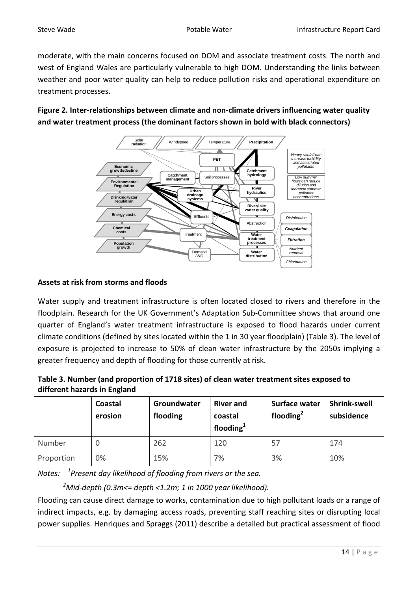moderate, with the main concerns focused on DOM and associate treatment costs. The north and west of England Wales are particularly vulnerable to high DOM. Understanding the links between weather and poor water quality can help to reduce pollution risks and operational expenditure on treatment processes.

**Figure 2. Inter-relationships between climate and non-climate drivers influencing water quality and water treatment process (the dominant factors shown in bold with black connectors)**



# **Assets at risk from storms and floods**

Water supply and treatment infrastructure is often located closed to rivers and therefore in the floodplain. Research for the UK Government's Adaptation Sub-Committee shows that around one quarter of England's water treatment infrastructure is exposed to flood hazards under current climate conditions (defined by sites located within the 1 in 30 year floodplain) (Table 3). The level of exposure is projected to increase to 50% of clean water infrastructure by the 2050s implying a greater frequency and depth of flooding for those currently at risk.

| Table 3. Number (and proportion of 1718 sites) of clean water treatment sites exposed to |
|------------------------------------------------------------------------------------------|
| different hazards in England                                                             |

|            | Coastal<br>erosion | Groundwater<br>flooding | <b>River and</b><br>coastal<br>flooding $1$ | Surface water<br>flooding $2$ | <b>Shrink-swell</b><br>subsidence |
|------------|--------------------|-------------------------|---------------------------------------------|-------------------------------|-----------------------------------|
| Number     |                    | 262                     | 120                                         | 57                            | 174                               |
| Proportion | 0%                 | 15%                     | 7%                                          | 3%                            | 10%                               |

*Notes: <sup>1</sup> Present day likelihood of flooding from rivers or the sea.* 

*2 Mid-depth (0.3m<= depth <1.2m; 1 in 1000 year likelihood).*

Flooding can cause direct damage to works, contamination due to high pollutant loads or a range of indirect impacts, e.g. by damaging access roads, preventing staff reaching sites or disrupting local power supplies. Henriques and Spraggs (2011) describe a detailed but practical assessment of flood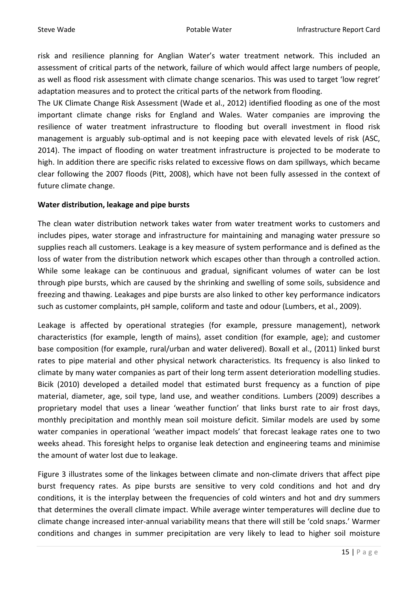risk and resilience planning for Anglian Water's water treatment network. This included an assessment of critical parts of the network, failure of which would affect large numbers of people, as well as flood risk assessment with climate change scenarios. This was used to target 'low regret' adaptation measures and to protect the critical parts of the network from flooding.

The UK Climate Change Risk Assessment (Wade et al., 2012) identified flooding as one of the most important climate change risks for England and Wales. Water companies are improving the resilience of water treatment infrastructure to flooding but overall investment in flood risk management is arguably sub-optimal and is not keeping pace with elevated levels of risk (ASC, 2014). The impact of flooding on water treatment infrastructure is projected to be moderate to high. In addition there are specific risks related to excessive flows on dam spillways, which became clear following the 2007 floods (Pitt, 2008), which have not been fully assessed in the context of future climate change.

#### **Water distribution, leakage and pipe bursts**

The clean water distribution network takes water from water treatment works to customers and includes pipes, water storage and infrastructure for maintaining and managing water pressure so supplies reach all customers. Leakage is a key measure of system performance and is defined as the loss of water from the distribution network which escapes other than through a controlled action. While some leakage can be continuous and gradual, significant volumes of water can be lost through pipe bursts, which are caused by the shrinking and swelling of some soils, subsidence and freezing and thawing. Leakages and pipe bursts are also linked to other key performance indicators such as customer complaints, pH sample, coliform and taste and odour (Lumbers, et al., 2009).

Leakage is affected by operational strategies (for example, pressure management), network characteristics (for example, length of mains), asset condition (for example, age); and customer base composition (for example, rural/urban and water delivered). Boxall et al., (2011) linked burst rates to pipe material and other physical network characteristics. Its frequency is also linked to climate by many water companies as part of their long term assent deterioration modelling studies. Bicik (2010) developed a detailed model that estimated burst frequency as a function of pipe material, diameter, age, soil type, land use, and weather conditions. Lumbers (2009) describes a proprietary model that uses a linear 'weather function' that links burst rate to air frost days, monthly precipitation and monthly mean soil moisture deficit. Similar models are used by some water companies in operational 'weather impact models' that forecast leakage rates one to two weeks ahead. This foresight helps to organise leak detection and engineering teams and minimise the amount of water lost due to leakage.

Figure 3 illustrates some of the linkages between climate and non-climate drivers that affect pipe burst frequency rates. As pipe bursts are sensitive to very cold conditions and hot and dry conditions, it is the interplay between the frequencies of cold winters and hot and dry summers that determines the overall climate impact. While average winter temperatures will decline due to climate change increased inter-annual variability means that there will still be 'cold snaps.' Warmer conditions and changes in summer precipitation are very likely to lead to higher soil moisture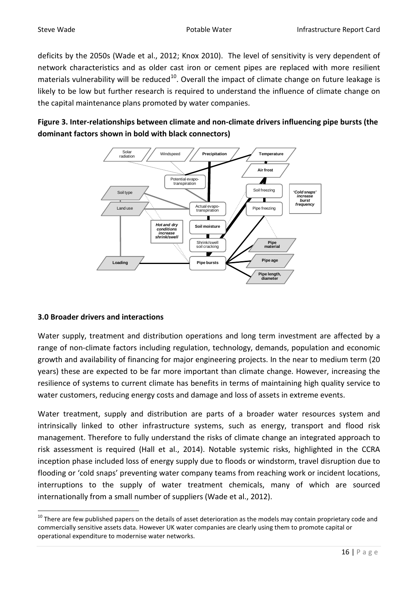deficits by the 2050s (Wade et al., 2012; Knox 2010). The level of sensitivity is very dependent of network characteristics and as older cast iron or cement pipes are replaced with more resilient materials vulnerability will be reduced<sup>[10](#page-7-1)</sup>. Overall the impact of climate change on future leakage is likely to be low but further research is required to understand the influence of climate change on the capital maintenance plans promoted by water companies.

# **Figure 3. Inter-relationships between climate and non-climate drivers influencing pipe bursts (the dominant factors shown in bold with black connectors)**



# **3.0 Broader drivers and interactions**

Water supply, treatment and distribution operations and long term investment are affected by a range of non-climate factors including regulation, technology, demands, population and economic growth and availability of financing for major engineering projects. In the near to medium term (20 years) these are expected to be far more important than climate change. However, increasing the resilience of systems to current climate has benefits in terms of maintaining high quality service to water customers, reducing energy costs and damage and loss of assets in extreme events.

Water treatment, supply and distribution are parts of a broader water resources system and intrinsically linked to other infrastructure systems, such as energy, transport and flood risk management. Therefore to fully understand the risks of climate change an integrated approach to risk assessment is required (Hall et al., 2014). Notable systemic risks, highlighted in the CCRA inception phase included loss of energy supply due to floods or windstorm, travel disruption due to flooding or 'cold snaps' preventing water company teams from reaching work or incident locations, interruptions to the supply of water treatment chemicals, many of which are sourced internationally from a small number of suppliers (Wade et al., 2012).

 $10$  There are few published papers on the details of asset deterioration as the models may contain proprietary code and commercially sensitive assets data. However UK water companies are clearly using them to promote capital or operational expenditure to modernise water networks.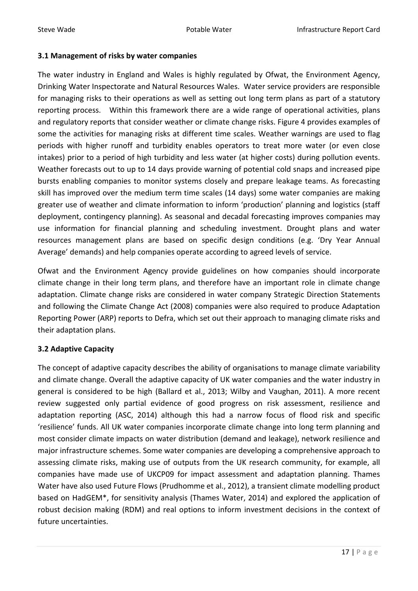#### **3.1 Management of risks by water companies**

The water industry in England and Wales is highly regulated by Ofwat, the Environment Agency, Drinking Water Inspectorate and Natural Resources Wales. Water service providers are responsible for managing risks to their operations as well as setting out long term plans as part of a statutory reporting process. Within this framework there are a wide range of operational activities, plans and regulatory reports that consider weather or climate change risks. Figure 4 provides examples of some the activities for managing risks at different time scales. Weather warnings are used to flag periods with higher runoff and turbidity enables operators to treat more water (or even close intakes) prior to a period of high turbidity and less water (at higher costs) during pollution events. Weather forecasts out to up to 14 days provide warning of potential cold snaps and increased pipe bursts enabling companies to monitor systems closely and prepare leakage teams. As forecasting skill has improved over the medium term time scales (14 days) some water companies are making greater use of weather and climate information to inform 'production' planning and logistics (staff deployment, contingency planning). As seasonal and decadal forecasting improves companies may use information for financial planning and scheduling investment. Drought plans and water resources management plans are based on specific design conditions (e.g. 'Dry Year Annual Average' demands) and help companies operate according to agreed levels of service.

Ofwat and the Environment Agency provide guidelines on how companies should incorporate climate change in their long term plans, and therefore have an important role in climate change adaptation. Climate change risks are considered in water company Strategic Direction Statements and following the Climate Change Act (2008) companies were also required to produce Adaptation Reporting Power (ARP) reports to Defra, which set out their approach to managing climate risks and their adaptation plans.

# **3.2 Adaptive Capacity**

The concept of adaptive capacity describes the ability of organisations to manage climate variability and climate change. Overall the adaptive capacity of UK water companies and the water industry in general is considered to be high (Ballard et al., 2013; Wilby and Vaughan, 2011). A more recent review suggested only partial evidence of good progress on risk assessment, resilience and adaptation reporting (ASC, 2014) although this had a narrow focus of flood risk and specific 'resilience' funds. All UK water companies incorporate climate change into long term planning and most consider climate impacts on water distribution (demand and leakage), network resilience and major infrastructure schemes. Some water companies are developing a comprehensive approach to assessing climate risks, making use of outputs from the UK research community, for example, all companies have made use of UKCP09 for impact assessment and adaptation planning. Thames Water have also used Future Flows (Prudhomme et al., 2012), a transient climate modelling product based on HadGEM\*, for sensitivity analysis (Thames Water, 2014) and explored the application of robust decision making (RDM) and real options to inform investment decisions in the context of future uncertainties.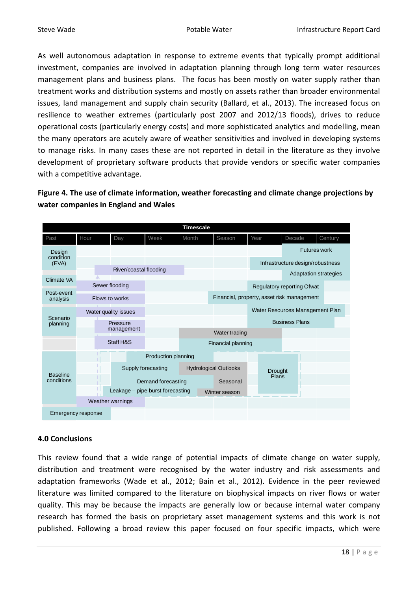As well autonomous adaptation in response to extreme events that typically prompt additional investment, companies are involved in adaptation planning through long term water resources management plans and business plans. The focus has been mostly on water supply rather than treatment works and distribution systems and mostly on assets rather than broader environmental issues, land management and supply chain security (Ballard, et al., 2013). The increased focus on resilience to weather extremes (particularly post 2007 and 2012/13 floods), drives to reduce operational costs (particularly energy costs) and more sophisticated analytics and modelling, mean the many operators are acutely aware of weather sensitivities and involved in developing systems to manage risks. In many cases these are not reported in detail in the literature as they involve development of proprietary software products that provide vendors or specific water companies with a competitive advantage.

**Figure 4. The use of climate information, weather forecasting and climate change projections by water companies in England and Wales** 

|                               |                    |                                  |                     | <b>Timescale</b> |                              |                                            |                              |         |  |  |  |
|-------------------------------|--------------------|----------------------------------|---------------------|------------------|------------------------------|--------------------------------------------|------------------------------|---------|--|--|--|
| Past                          | Hour               | Day                              | Week                | Month            | Season                       | Year                                       | Decade                       | Century |  |  |  |
| Design                        |                    |                                  |                     |                  |                              |                                            | <b>Futures work</b>          |         |  |  |  |
| condition<br>(EVA)            |                    |                                  |                     |                  |                              | Infrastructure design/robustness           |                              |         |  |  |  |
|                               |                    | River/coastal flooding           |                     |                  |                              |                                            | <b>Adaptation strategies</b> |         |  |  |  |
| Climate VA                    |                    | Sewer flooding                   |                     |                  |                              | Regulatory reporting Ofwat                 |                              |         |  |  |  |
| Post-event                    |                    |                                  |                     |                  |                              |                                            |                              |         |  |  |  |
| analysis                      |                    | Flows to works                   |                     |                  |                              | Financial, property, asset risk management |                              |         |  |  |  |
|                               |                    | Water quality issues             |                     |                  |                              | Water Resources Management Plan            |                              |         |  |  |  |
| Scenario<br>planning          |                    | Pressure                         |                     |                  |                              | <b>Business Plans</b>                      |                              |         |  |  |  |
|                               |                    | management                       |                     |                  | Water trading                |                                            |                              |         |  |  |  |
|                               |                    | Staff H&S                        |                     |                  | Financial planning           |                                            |                              |         |  |  |  |
|                               |                    |                                  | Production planning |                  |                              |                                            |                              |         |  |  |  |
|                               |                    |                                  | Supply forecasting  |                  | <b>Hydrological Outlooks</b> |                                            | <b>Drought</b>               |         |  |  |  |
| <b>Baseline</b><br>conditions |                    |                                  | Demand forecasting  |                  | Seasonal                     |                                            | Plans                        |         |  |  |  |
|                               |                    | Leakage - pipe burst forecasting |                     |                  | Winter season                |                                            |                              |         |  |  |  |
|                               |                    | Weather warnings                 |                     |                  |                              |                                            |                              |         |  |  |  |
|                               | Emergency response |                                  |                     |                  |                              |                                            |                              |         |  |  |  |

# **4.0 Conclusions**

This review found that a wide range of potential impacts of climate change on water supply, distribution and treatment were recognised by the water industry and risk assessments and adaptation frameworks (Wade et al., 2012; Bain et al., 2012). Evidence in the peer reviewed literature was limited compared to the literature on biophysical impacts on river flows or water quality. This may be because the impacts are generally low or because internal water company research has formed the basis on proprietary asset management systems and this work is not published. Following a broad review this paper focused on four specific impacts, which were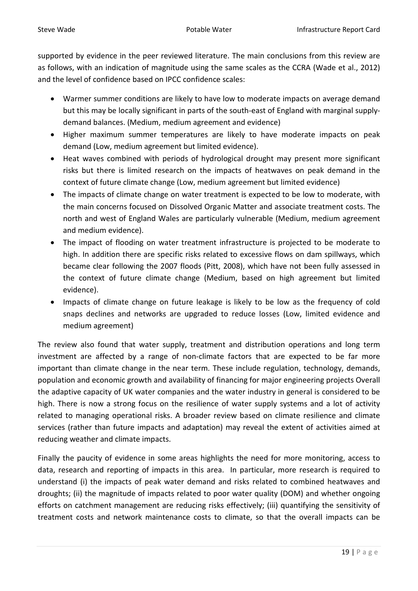supported by evidence in the peer reviewed literature. The main conclusions from this review are as follows, with an indication of magnitude using the same scales as the CCRA (Wade et al., 2012) and the level of confidence based on IPCC confidence scales:

- Warmer summer conditions are likely to have low to moderate impacts on average demand but this may be locally significant in parts of the south-east of England with marginal supplydemand balances. (Medium, medium agreement and evidence)
- Higher maximum summer temperatures are likely to have moderate impacts on peak demand (Low, medium agreement but limited evidence).
- Heat waves combined with periods of hydrological drought may present more significant risks but there is limited research on the impacts of heatwaves on peak demand in the context of future climate change (Low, medium agreement but limited evidence)
- The impacts of climate change on water treatment is expected to be low to moderate, with the main concerns focused on Dissolved Organic Matter and associate treatment costs. The north and west of England Wales are particularly vulnerable (Medium, medium agreement and medium evidence).
- The impact of flooding on water treatment infrastructure is projected to be moderate to high. In addition there are specific risks related to excessive flows on dam spillways, which became clear following the 2007 floods (Pitt, 2008), which have not been fully assessed in the context of future climate change (Medium, based on high agreement but limited evidence).
- Impacts of climate change on future leakage is likely to be low as the frequency of cold snaps declines and networks are upgraded to reduce losses (Low, limited evidence and medium agreement)

The review also found that water supply, treatment and distribution operations and long term investment are affected by a range of non-climate factors that are expected to be far more important than climate change in the near term. These include regulation, technology, demands, population and economic growth and availability of financing for major engineering projects Overall the adaptive capacity of UK water companies and the water industry in general is considered to be high. There is now a strong focus on the resilience of water supply systems and a lot of activity related to managing operational risks. A broader review based on climate resilience and climate services (rather than future impacts and adaptation) may reveal the extent of activities aimed at reducing weather and climate impacts.

Finally the paucity of evidence in some areas highlights the need for more monitoring, access to data, research and reporting of impacts in this area. In particular, more research is required to understand (i) the impacts of peak water demand and risks related to combined heatwaves and droughts; (ii) the magnitude of impacts related to poor water quality (DOM) and whether ongoing efforts on catchment management are reducing risks effectively; (iii) quantifying the sensitivity of treatment costs and network maintenance costs to climate, so that the overall impacts can be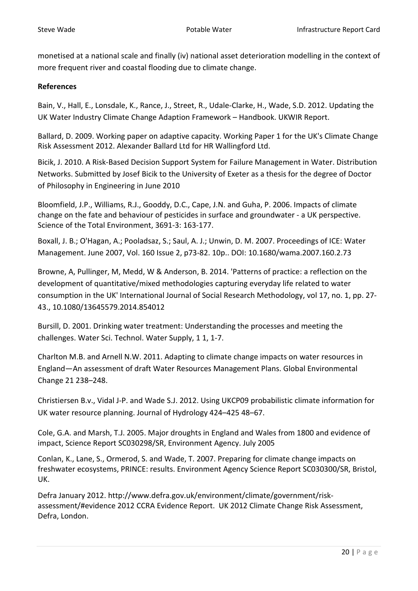monetised at a national scale and finally (iv) national asset deterioration modelling in the context of more frequent river and coastal flooding due to climate change.

#### **References**

Bain, V., Hall, E., Lonsdale, K., Rance, J., Street, R., Udale-Clarke, H., Wade, S.D. 2012. Updating the UK Water Industry Climate Change Adaption Framework – Handbook. UKWIR Report.

Ballard, D. 2009. Working paper on adaptive capacity. Working Paper 1 for the UK's Climate Change Risk Assessment 2012. Alexander Ballard Ltd for HR Wallingford Ltd.

Bicik, J. 2010. A Risk-Based Decision Support System for Failure Management in Water. Distribution Networks. Submitted by Josef Bicik to the University of Exeter as a thesis for the degree of Doctor of Philosophy in Engineering in June 2010

Bloomfield, J.P., Williams, R.J., Gooddy, D.C., Cape, J.N. and Guha, P. 2006. Impacts of climate change on the fate and behaviour of pesticides in surface and groundwater - a UK perspective. Science of the Total Environment, 3691-3: 163-177.

Boxall, J. B.; O'Hagan, A.; Pooladsaz, S.; Saul, A. J.; Unwin, D. M. 2007. Proceedings of ICE: Water Management. June 2007, Vol. 160 Issue 2, p73-82. 10p.. DOI: 10.1680/wama.2007.160.2.73

Browne, A, Pullinger, M, Medd, W & Anderson, B. 2014. 'Patterns of practice: a reflection on the development of quantitative/mixed methodologies capturing everyday life related to water consumption in the UK' International Journal of Social Research Methodology, vol 17, no. 1, pp. 27- 43., 10.1080/13645579.2014.854012

Bursill, D. 2001. Drinking water treatment: Understanding the processes and meeting the challenges. Water Sci. Technol. Water Supply, 1 1, 1-7.

Charlton M.B. and Arnell N.W. 2011. Adapting to climate change impacts on water resources in England—An assessment of draft Water Resources Management Plans. Global Environmental Change 21 238–248.

Christiersen B.v., Vidal J-P. and Wade S.J. 2012. Using UKCP09 probabilistic climate information for UK water resource planning. Journal of Hydrology 424–425 48–67.

Cole, G.A. and Marsh, T.J. 2005. Major droughts in England and Wales from 1800 and evidence of impact, Science Report SC030298/SR, Environment Agency. July 2005

Conlan, K., Lane, S., Ormerod, S. and Wade, T. 2007. Preparing for climate change impacts on freshwater ecosystems, PRINCE: results. Environment Agency Science Report SC030300/SR, Bristol, UK.

Defra January 2012. http://www.defra.gov.uk/environment/climate/government/riskassessment/#evidence 2012 CCRA Evidence Report. UK 2012 Climate Change Risk Assessment, Defra, London.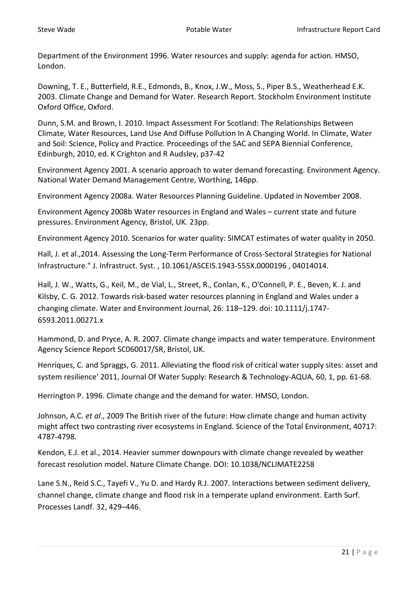Department of the Environment 1996. Water resources and supply: agenda for action*.* HMSO, London.

Downing, T. E., Butterfield, R.E., Edmonds, B., Knox, J.W., Moss, S., Piper B.S., Weatherhead E.K. 2003. Climate Change and Demand for Water. Research Report. Stockholm Environment Institute Oxford Office, Oxford.

Dunn, S.M. and Brown, I. 2010. Impact Assessment For Scotland: The Relationships Between Climate, Water Resources, Land Use And Diffuse Pollution In A Changing World. In Climate, Water and Soil: Science, Policy and Practice. Proceedings of the SAC and SEPA Biennial Conference, Edinburgh, 2010, ed. K Crighton and R Audsley, p37-42

Environment Agency 2001. A scenario approach to water demand forecasting. Environment Agency. National Water Demand Management Centre, Worthing, 146pp.

Environment Agency 2008a. Water Resources Planning Guideline. Updated in November 2008.

Environment Agency 2008b Water resources in England and Wales – current state and future pressures. Environment Agency, Bristol, UK. 23pp.

Environment Agency 2010. Scenarios for water quality: SIMCAT estimates of water quality in 2050.

Hall, J. et al.,2014. Assessing the Long-Term Performance of Cross-Sectoral Strategies for National Infrastructure." J. Infrastruct. Syst. , 10.1061/ASCEIS.1943-555X.0000196 , 04014014.

Hall, J. W., Watts, G., Keil, M., de Vial, L., Street, R., Conlan, K., O'Connell, P. E., Beven, K. J. and Kilsby, C. G. 2012. Towards risk-based water resources planning in England and Wales under a changing climate. Water and Environment Journal, 26: 118–129. doi: 10.1111/j.1747- 6593.2011.00271.x

Hammond, D. and Pryce, A. R. 2007. Climate change impacts and water temperature. Environment Agency Science Report SC060017/SR, Bristol, UK.

Henriques, C. and Spraggs, G. 2011. Alleviating the flood risk of critical water supply sites: asset and system resilience' 2011, Journal Of Water Supply: Research & Technology-AQUA, 60, 1, pp. 61-68.

Herrington P. 1996. Climate change and the demand for water*.* HMSO, London.

Johnson, A.C. *et al*., 2009 The British river of the future: How climate change and human activity might affect two contrasting river ecosystems in England. Science of the Total Environment, 40717: 4787-4798.

Kendon, E.J. et al., 2014. Heavier summer downpours with climate change revealed by weather forecast resolution model. Nature Climate Change. DOI: 10.1038/NCLIMATE2258

Lane S.N., Reid S.C., Tayefi V., Yu D. and Hardy R.J. 2007. Interactions between sediment delivery, channel change, climate change and flood risk in a temperate upland environment. Earth Surf. Processes Landf. 32, 429–446.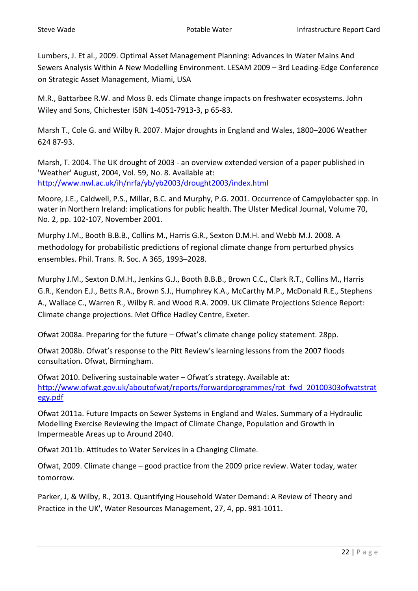Lumbers, J. Et al., 2009. Optimal Asset Management Planning: Advances In Water Mains And Sewers Analysis Within A New Modelling Environment. LESAM 2009 – 3rd Leading-Edge Conference on Strategic Asset Management, Miami, USA

M.R., Battarbee R.W. and Moss B. eds Climate change impacts on freshwater ecosystems. John Wiley and Sons, Chichester ISBN 1-4051-7913-3, p 65-83.

Marsh T., Cole G. and Wilby R. 2007. Major droughts in England and Wales, 1800–2006 Weather 624 87-93.

Marsh, T. 2004. The UK drought of 2003 - an overview extended version of a paper published in 'Weather' August, 2004, Vol. 59, No. 8. Available at: <http://www.nwl.ac.uk/ih/nrfa/yb/yb2003/drought2003/index.html>

Moore, J.E., Caldwell, P.S., Millar, B.C. and Murphy, P.G. 2001. Occurrence of Campylobacter spp. in water in Northern Ireland: implications for public health. The Ulster Medical Journal, Volume 70, No. 2, pp. 102-107, November 2001.

Murphy J.M., Booth B.B.B., Collins M., Harris G.R., Sexton D.M.H. and Webb M.J. 2008. A methodology for probabilistic predictions of regional climate change from perturbed physics ensembles. Phil. Trans. R. Soc. A 365, 1993–2028.

Murphy J.M., Sexton D.M.H., Jenkins G.J., Booth B.B.B., Brown C.C., Clark R.T., Collins M., Harris G.R., Kendon E.J., Betts R.A., Brown S.J., Humphrey K.A., McCarthy M.P., McDonald R.E., Stephens A., Wallace C., Warren R., Wilby R. and Wood R.A. 2009. UK Climate Projections Science Report: Climate change projections. Met Office Hadley Centre, Exeter.

Ofwat 2008a. Preparing for the future – Ofwat's climate change policy statement. 28pp.

Ofwat 2008b. Ofwat's response to the Pitt Review's learning lessons from the 2007 floods consultation. Ofwat, Birmingham.

Ofwat 2010. Delivering sustainable water – Ofwat's strategy. Available at: [http://www.ofwat.gov.uk/aboutofwat/reports/forwardprogrammes/rpt\\_fwd\\_20100303ofwatstrat](http://www.ofwat.gov.uk/aboutofwat/reports/forwardprogrammes/rpt_fwd_20100303ofwatstrategy.pdf) [egy.pdf](http://www.ofwat.gov.uk/aboutofwat/reports/forwardprogrammes/rpt_fwd_20100303ofwatstrategy.pdf)

Ofwat 2011a. Future Impacts on Sewer Systems in England and Wales. Summary of a Hydraulic Modelling Exercise Reviewing the Impact of Climate Change, Population and Growth in Impermeable Areas up to Around 2040.

Ofwat 2011b. Attitudes to Water Services in a Changing Climate.

Ofwat, 2009. Climate change – good practice from the 2009 price review. Water today, water tomorrow.

Parker, J, & Wilby, R., 2013. Quantifying Household Water Demand: A Review of Theory and Practice in the UK', Water Resources Management, 27, 4, pp. 981-1011.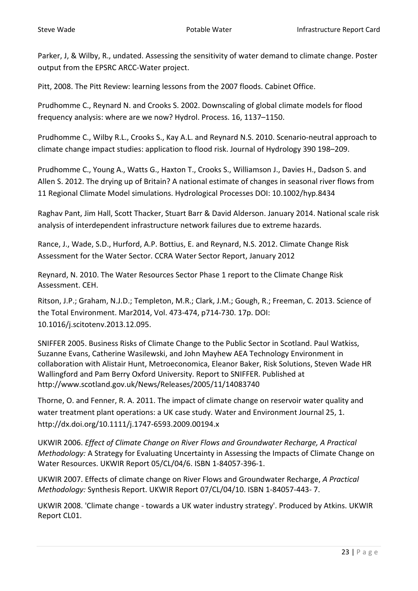Parker, J, & Wilby, R., undated. Assessing the sensitivity of water demand to climate change. Poster output from the EPSRC ARCC-Water project.

Pitt, 2008. The Pitt Review: learning lessons from the 2007 floods. Cabinet Office.

Prudhomme C., Reynard N. and Crooks S. 2002. Downscaling of global climate models for flood frequency analysis: where are we now? Hydrol. Process. 16, 1137–1150.

Prudhomme C., Wilby R.L., Crooks S., Kay A.L. and Reynard N.S. 2010. Scenario-neutral approach to climate change impact studies: application to flood risk. Journal of Hydrology 390 198–209.

Prudhomme C., Young A., Watts G., Haxton T., Crooks S., Williamson J., Davies H., Dadson S. and Allen S. 2012. The drying up of Britain? A national estimate of changes in seasonal river flows from 11 Regional Climate Model simulations. Hydrological Processes DOI: 10.1002/hyp.8434

Raghav Pant, Jim Hall, Scott Thacker, Stuart Barr & David Alderson. January 2014. National scale risk analysis of interdependent infrastructure network failures due to extreme hazards.

Rance, J., Wade, S.D., Hurford, A.P. Bottius, E. and Reynard, N.S. 2012. Climate Change Risk Assessment for the Water Sector. CCRA Water Sector Report, January 2012

Reynard, N. 2010. The Water Resources Sector Phase 1 report to the Climate Change Risk Assessment. CEH.

Ritson, J.P.; Graham, N.J.D.; Templeton, M.R.; Clark, J.M.; Gough, R.; Freeman, C. 2013. Science of the Total Environment. Mar2014, Vol. 473-474, p714-730. 17p. DOI: 10.1016/j.scitotenv.2013.12.095.

SNIFFER 2005. Business Risks of Climate Change to the Public Sector in Scotland. Paul Watkiss, Suzanne Evans, Catherine Wasilewski, and John Mayhew AEA Technology Environment in collaboration with Alistair Hunt, Metroeconomica, Eleanor Baker, Risk Solutions, Steven Wade HR Wallingford and Pam Berry Oxford University. Report to SNIFFER. Published at http://www.scotland.gov.uk/News/Releases/2005/11/14083740

Thorne, O. and Fenner, R. A. 2011. The impact of climate change on reservoir water quality and water treatment plant operations: a UK case study. Water and Environment Journal 25, 1. http://dx.doi.org/10.1111/j.1747-6593.2009.00194.x

UKWIR 2006. *Effect of Climate Change on River Flows and Groundwater Recharge, A Practical Methodology:* A Strategy for Evaluating Uncertainty in Assessing the Impacts of Climate Change on Water Resources. UKWIR Report 05/CL/04/6. ISBN 1-84057-396-1.

UKWIR 2007. Effects of climate change on River Flows and Groundwater Recharge, *A Practical Methodology:* Synthesis Report. UKWIR Report 07/CL/04/10. ISBN 1-84057-443- 7.

UKWIR 2008. 'Climate change - towards a UK water industry strategy'. Produced by Atkins. UKWIR Report CL01.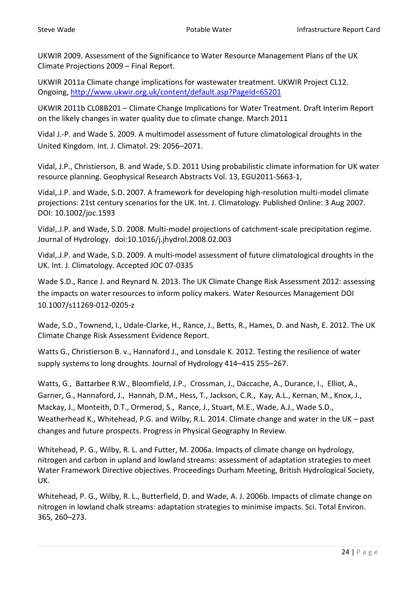UKWIR 2009. Assessment of the Significance to Water Resource Management Plans of the UK Climate Projections 2009 – Final Report.

UKWIR 2011a Climate change implications for wastewater treatment. UKWIR Project CL12. Ongoing,<http://www.ukwir.org.uk/content/default.asp?PageId=65201>

UKWIR 2011b CL08B201 – Climate Change Implications for Water Treatment. Draft Interim Report on the likely changes in water quality due to climate change. March 2011

Vidal J.-P. and Wade S. 2009. A multimodel assessment of future climatological droughts in the United Kingdom. Int. J. Climatol. 29: 2056–2071.

Vidal, J.P., Christierson, B. and Wade, S.D. 2011 Using probabilistic climate information for UK water resource planning. Geophysical Research Abstracts Vol. 13, EGU2011-5663-1,

Vidal,.J.P. and Wade, S.D. 2007. A framework for developing high-resolution multi-model climate projections: 21st century scenarios for the UK. Int. J. Climatology. Published Online: 3 Aug 2007. DOI: 10.1002/joc.1593

Vidal,.J.P. and Wade, S.D. 2008. Multi-model projections of catchment-scale precipitation regime. Journal of Hydrology. doi:10.1016/j.jhydrol.2008.02.003

Vidal,.J.P. and Wade, S.D. 2009. A multi-model assessment of future climatological droughts in the UK. Int. J. Climatology. Accepted JOC 07-0335

Wade S.D., Rance J. and Reynard N. 2013. The UK Climate Change Risk Assessment 2012: assessing the impacts on water resources to inform policy makers. Water Resources Management DOI 10.1007/s11269-012-0205-z

Wade, S.D., Townend, I., Udale-Clarke, H., Rance, J., Betts, R., Hames, D. and Nash, E. 2012. The UK Climate Change Risk Assessment Evidence Report.

Watts G., Christierson B. v., Hannaford J., and Lonsdale K. 2012. Testing the resilience of water supply systems to long droughts. Journal of Hydrology 414–415 255–267.

Watts, G., Battarbee R.W., Bloomfield, J.P., Crossman, J., Daccache, A., Durance, I., Elliot, A., Garner, G., Hannaford, J., Hannah, D.M., Hess, T., Jackson, C.R., Kay, A.L., Kernan, M., Knox, J., Mackay, J., Monteith, D.T., Ormerod, S., Rance, J., Stuart, M.E., Wade, A.J., Wade S.D., Weatherhead K., Whitehead, P.G. and Wilby, R.L. 2014. Climate change and water in the UK – past changes and future prospects. Progress in Physical Geography In Review.

Whitehead, P. G., Wilby, R. L. and Futter, M. 2006a. Impacts of climate change on hydrology, nitrogen and carbon in upland and lowland streams: assessment of adaptation strategies to meet Water Framework Directive objectives. Proceedings Durham Meeting, British Hydrological Society, UK.

Whitehead, P. G., Wilby, R. L., Butterfield, D. and Wade, A. J. 2006b. Impacts of climate change on nitrogen in lowland chalk streams: adaptation strategies to minimise impacts. Sci. Total Environ. 365, 260–273.